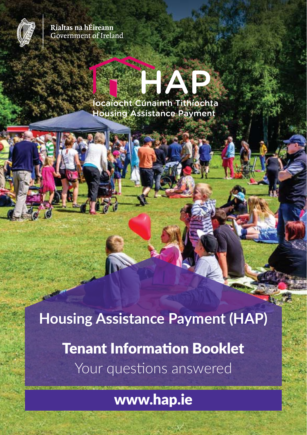

Rialtas na hÉireann **Government of Ireland** 

# Íocaíocht Cúnaimh Tithíochta **Housing Assistance Payment**

**Housing Assistance Payment (HAP)** Tenant Information Booklet Your questions answered

www.hap.ie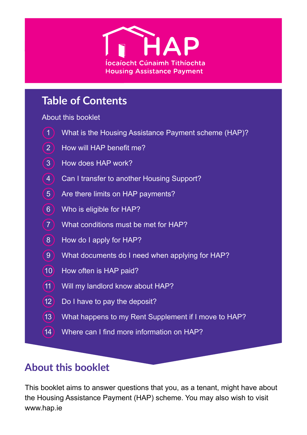

# **Table of Contents**

#### About this booklet

- 1 What is the Housing Assistance Payment scheme (HAP)?
- 2 How will HAP benefit me?
- 3 How does HAP work?
- 4 Can I transfer to another Housing Support?
- 5 Are there limits on HAP payments?
- 6 Who is eligible for HAP?
- 7 What conditions must be met for HAP?
- 8 How do I apply for HAP?
- 9 What documents do I need when applying for HAP?
- 10 How often is HAP paid?
- 11 Will my landlord know about HAP?
- $(12)$  Do I have to pay the deposit?
- 13 What happens to my Rent Supplement if I move to HAP?
- 14 Where can I find more information on HAP?

## **About this booklet**

This booklet aims to answer questions that you, as a tenant, might have about the Housing Assistance Payment (HAP) scheme. You may also wish to visit www.hap.ie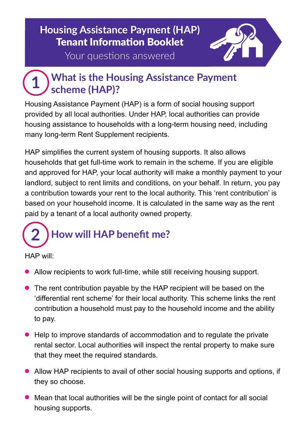# **Housing Assistance Payment (HAP)** Tenant Information Booklet



Your questions answered

### **What is the Housing Assistance Payment scheme (HAP)? 1**

Housing Assistance Payment (HAP) is a form of social housing support provided by all local authorities. Under HAP, local authorities can provide housing assistance to households with a long-term housing need, including many long-term Rent Supplement recipients.

HAP simplifies the current system of housing supports. It also allows households that get full-time work to remain in the scheme. If you are eligible and approved for HAP, your local authority will make a monthly payment to your landlord, subject to rent limits and conditions, on your behalf. In return, you pay a contribution towards your rent to the local authority. This 'rent contribution' is based on your household income. It is calculated in the same way as the rent paid by a tenant of a local authority owned property.

# **How will HAP benefit me? 2**

HAP will:

- Allow recipients to work full-time, while still receiving housing support.
- The rent contribution payable by the HAP recipient will be based on the 'differential rent scheme' for their local authority. This scheme links the rent contribution a household must pay to the household income and the ability to pay.
- <sup>l</sup> Help to improve standards of accommodation and to regulate the private rental sector. Local authorities will inspect the rental property to make sure that they meet the required standards.
- Allow HAP recipients to avail of other social housing supports and options, if they so choose.
- $\bullet$  Mean that local authorities will be the single point of contact for all social housing supports.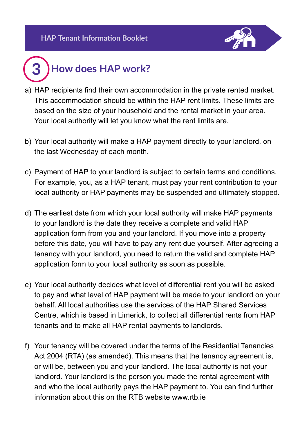

## **How does HAP work? 3**

- a) HAP recipients find their own accommodation in the private rented market. This accommodation should be within the HAP rent limits. These limits are based on the size of your household and the rental market in your area. Your local authority will let you know what the rent limits are.
- b) Your local authority will make a HAP payment directly to your landlord, on the last Wednesday of each month.
- c) Payment of HAP to your landlord is subject to certain terms and conditions. For example, you, as a HAP tenant, must pay your rent contribution to your local authority or HAP payments may be suspended and ultimately stopped.
- d) The earliest date from which your local authority will make HAP payments to your landlord is the date they receive a complete and valid HAP application form from you and your landlord. If you move into a property before this date, you will have to pay any rent due yourself. After agreeing a tenancy with your landlord, you need to return the valid and complete HAP application form to your local authority as soon as possible.
- e) Your local authority decides what level of differential rent you will be asked to pay and what level of HAP payment will be made to your landlord on your behalf. All local authorities use the services of the HAP Shared Services Centre, which is based in Limerick, to collect all differential rents from HAP tenants and to make all HAP rental payments to landlords.
- f) Your tenancy will be covered under the terms of the Residential Tenancies Act 2004 (RTA) (as amended). This means that the tenancy agreement is, or will be, between you and your landlord. The local authority is not your landlord. Your landlord is the person you made the rental agreement with and who the local authority pays the HAP payment to. You can find further information about this on the RTB website www.rtb.ie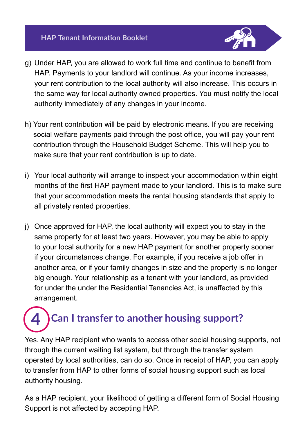## **HAP Tenant Information Booklet**



- g) Under HAP, you are allowed to work full time and continue to benefit from HAP. Payments to your landlord will continue. As your income increases, your rent contribution to the local authority will also increase. This occurs in the same way for local authority owned properties. You must notify the local authority immediately of any changes in your income.
- h) Your rent contribution will be paid by electronic means. If you are receiving social welfare payments paid through the post office, you will pay your rent contribution through the Household Budget Scheme. This will help you to make sure that your rent contribution is up to date.
- i) Your local authority will arrange to inspect your accommodation within eight months of the first HAP payment made to your landlord. This is to make sure that your accommodation meets the rental housing standards that apply to all privately rented properties.
- j) Once approved for HAP, the local authority will expect you to stay in the same property for at least two years. However, you may be able to apply to your local authority for a new HAP payment for another property sooner if your circumstances change. For example, if you receive a job offer in another area, or if your family changes in size and the property is no longer big enough. Your relationship as a tenant with your landlord, as provided for under the under the Residential Tenancies Act, is unaffected by this arrangement.

## **Can I transfer to another housing support? 4**

Yes. Any HAP recipient who wants to access other social housing supports, not through the current waiting list system, but through the transfer system operated by local authorities, can do so. Once in receipt of HAP, you can apply to transfer from HAP to other forms of social housing support such as local authority housing.

As a HAP recipient, your likelihood of getting a different form of Social Housing Support is not affected by accepting HAP.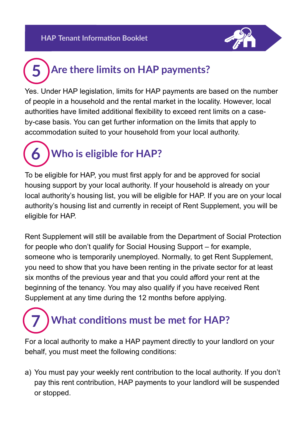

# **Are there limits on HAP payments? 5**

Yes. Under HAP legislation, limits for HAP payments are based on the number of people in a household and the rental market in the locality. However, local authorities have limited additional flexibility to exceed rent limits on a caseby-case basis. You can get further information on the limits that apply to accommodation suited to your household from your local authority.

**Who is eligible for HAP? 6**

To be eligible for HAP, you must first apply for and be approved for social housing support by your local authority. If your household is already on your local authority's housing list, you will be eligible for HAP. If you are on your local authority's housing list and currently in receipt of Rent Supplement, you will be eligible for HAP.

Rent Supplement will still be available from the Department of Social Protection for people who don't qualify for Social Housing Support – for example, someone who is temporarily unemployed. Normally, to get Rent Supplement, you need to show that you have been renting in the private sector for at least six months of the previous year and that you could afford your rent at the beginning of the tenancy. You may also qualify if you have received Rent Supplement at any time during the 12 months before applying.

## **What conditions must be met for HAP? 7**

For a local authority to make a HAP payment directly to your landlord on your behalf, you must meet the following conditions:

a) You must pay your weekly rent contribution to the local authority. If you don't pay this rent contribution, HAP payments to your landlord will be suspended or stopped.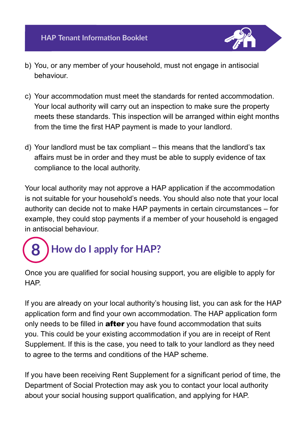

- b) You, or any member of your household, must not engage in antisocial behaviour.
- c) Your accommodation must meet the standards for rented accommodation. Your local authority will carry out an inspection to make sure the property meets these standards. This inspection will be arranged within eight months from the time the first HAP payment is made to your landlord.
- d) Your landlord must be tax compliant this means that the landlord's tax affairs must be in order and they must be able to supply evidence of tax compliance to the local authority.

Your local authority may not approve a HAP application if the accommodation is not suitable for your household's needs. You should also note that your local authority can decide not to make HAP payments in certain circumstances – for example, they could stop payments if a member of your household is engaged in antisocial behaviour.

# **How do I apply for HAP? 8**

Once you are qualified for social housing support, you are eligible to apply for HAP.

If you are already on your local authority's housing list, you can ask for the HAP application form and find your own accommodation. The HAP application form only needs to be filled in **after** you have found accommodation that suits you. This could be your existing accommodation if you are in receipt of Rent Supplement. If this is the case, you need to talk to your landlord as they need to agree to the terms and conditions of the HAP scheme.

If you have been receiving Rent Supplement for a significant period of time, the Department of Social Protection may ask you to contact your local authority about your social housing support qualification, and applying for HAP.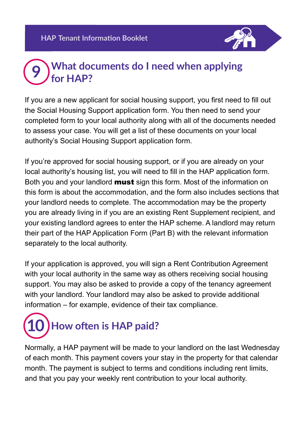

#### **What documents do I need when applying for HAP? 9**

If you are a new applicant for social housing support, you first need to fill out the Social Housing Support application form. You then need to send your completed form to your local authority along with all of the documents needed to assess your case. You will get a list of these documents on your local authority's Social Housing Support application form.

If you're approved for social housing support, or if you are already on your local authority's housing list, you will need to fill in the HAP application form. Both you and your landlord **must** sign this form. Most of the information on this form is about the accommodation, and the form also includes sections that your landlord needs to complete. The accommodation may be the property you are already living in if you are an existing Rent Supplement recipient, and your existing landlord agrees to enter the HAP scheme. A landlord may return their part of the HAP Application Form (Part B) with the relevant information separately to the local authority.

If your application is approved, you will sign a Rent Contribution Agreement with your local authority in the same way as others receiving social housing support. You may also be asked to provide a copy of the tenancy agreement with your landlord. Your landlord may also be asked to provide additional information – for example, evidence of their tax compliance.



Normally, a HAP payment will be made to your landlord on the last Wednesday of each month. This payment covers your stay in the property for that calendar month. The payment is subject to terms and conditions including rent limits, and that you pay your weekly rent contribution to your local authority.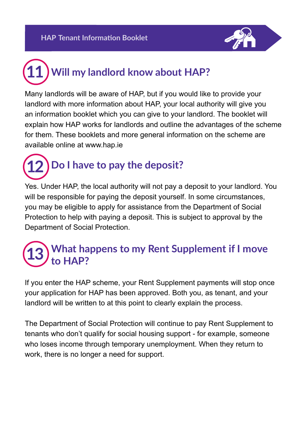

## **Will my landlord know about HAP? 11**

Many landlords will be aware of HAP, but if you would like to provide your landlord with more information about HAP, your local authority will give you an information booklet which you can give to your landlord. The booklet will explain how HAP works for landlords and outline the advantages of the scheme for them. These booklets and more general information on the scheme are available online at www.hap.ie



Yes. Under HAP, the local authority will not pay a deposit to your landlord. You will be responsible for paying the deposit yourself. In some circumstances, you may be eligible to apply for assistance from the Department of Social Protection to help with paying a deposit. This is subject to approval by the Department of Social Protection.

#### **What happens to my Rent Supplement if I move to HAP? 13**

If you enter the HAP scheme, your Rent Supplement payments will stop once your application for HAP has been approved. Both you, as tenant, and your landlord will be written to at this point to clearly explain the process.

The Department of Social Protection will continue to pay Rent Supplement to tenants who don't qualify for social housing support - for example, someone who loses income through temporary unemployment. When they return to work, there is no longer a need for support.